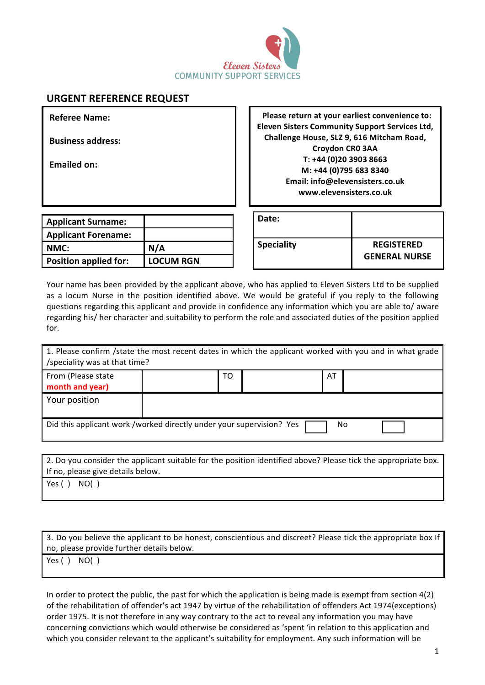

## **URGENT REFERENCE REQUEST**

**Referee Name:**

**Business address:** 

Emailed on:

**Please return at your earliest convenience to: Eleven Sisters Community Support Services Ltd,** Challenge House, SLZ 9, 616 Mitcham Road, **Croydon CR0 3AA T: +44 (0)20 3903 8663 M: +44 (0)795 683 8340 Email: info@elevensisters.co.uk www.elevensisters.co.uk**

| <b>Applicant Surname:</b>    |                  |
|------------------------------|------------------|
| <b>Applicant Forename:</b>   |                  |
| NMC:                         | N/A              |
| <b>Position applied for:</b> | <b>LOCUM RGN</b> |

| Date:             |                      |
|-------------------|----------------------|
| <b>Speciality</b> | <b>REGISTERED</b>    |
|                   | <b>GENERAL NURSE</b> |

Your name has been provided by the applicant above, who has applied to Eleven Sisters Ltd to be supplied as a locum Nurse in the position identified above. We would be grateful if you reply to the following questions regarding this applicant and provide in confidence any information which you are able to/ aware regarding his/ her character and suitability to perform the role and associated duties of the position applied for.

| 1. Please confirm /state the most recent dates in which the applicant worked with you and in what grade<br>/speciality was at that time? |    |    |  |
|------------------------------------------------------------------------------------------------------------------------------------------|----|----|--|
| From (Please state<br>month and year)                                                                                                    | TO | AT |  |
| Your position                                                                                                                            |    |    |  |
| Did this applicant work /worked directly under your supervision? Yes<br>No                                                               |    |    |  |

2. Do you consider the applicant suitable for the position identified above? Please tick the appropriate box. If no, please give details below.

 $Yes() NO()$ 

3. Do you believe the applicant to be honest, conscientious and discreet? Please tick the appropriate box If no, please provide further details below.

 $Yes() NO()$ 

In order to protect the public, the past for which the application is being made is exempt from section  $4(2)$ of the rehabilitation of offender's act 1947 by virtue of the rehabilitation of offenders Act 1974(exceptions) order 1975. It is not therefore in any way contrary to the act to reveal any information you may have concerning convictions which would otherwise be considered as 'spent 'in relation to this application and which you consider relevant to the applicant's suitability for employment. Any such information will be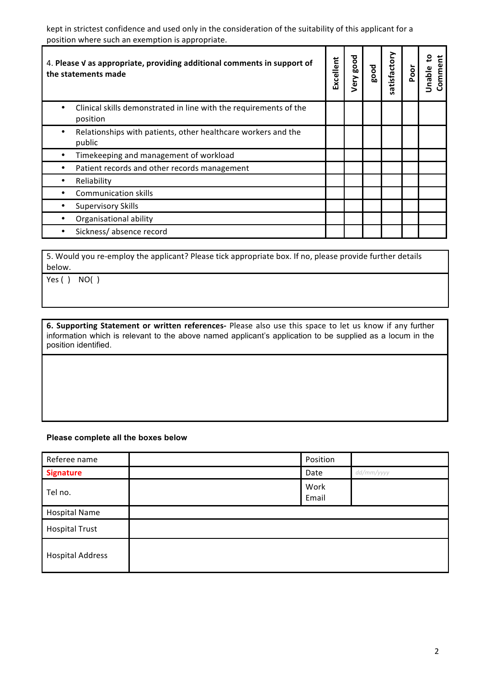kept in strictest confidence and used only in the consideration of the suitability of this applicant for a position where such an exemption is appropriate.

| 4. Please V as appropriate, providing additional comments in support of<br>the statements made | Excellent | pood<br>Very | good | atisfactory<br>n | Poor | ₽<br>Ĕ<br>Commer<br>Jnable |
|------------------------------------------------------------------------------------------------|-----------|--------------|------|------------------|------|----------------------------|
| Clinical skills demonstrated in line with the requirements of the<br>position                  |           |              |      |                  |      |                            |
| Relationships with patients, other healthcare workers and the<br>٠<br>public                   |           |              |      |                  |      |                            |
| Timekeeping and management of workload                                                         |           |              |      |                  |      |                            |
| Patient records and other records management                                                   |           |              |      |                  |      |                            |
| Reliability                                                                                    |           |              |      |                  |      |                            |
| <b>Communication skills</b>                                                                    |           |              |      |                  |      |                            |
| <b>Supervisory Skills</b>                                                                      |           |              |      |                  |      |                            |
| Organisational ability                                                                         |           |              |      |                  |      |                            |
| Sickness/absence record                                                                        |           |              |      |                  |      |                            |

5. Would you re-employ the applicant? Please tick appropriate box. If no, please provide further details below. 

 $Yes() NO()$ 

**6.** Supporting Statement or written references- Please also use this space to let us know if any further information which is relevant to the above named applicant's application to be supplied as a locum in the position identified.

## **Please complete all the boxes below**

| Referee name            | Position      |            |
|-------------------------|---------------|------------|
| <b>Signature</b>        | Date          | dd/mm/yyyy |
| Tel no.                 | Work<br>Email |            |
| <b>Hospital Name</b>    |               |            |
| <b>Hospital Trust</b>   |               |            |
| <b>Hospital Address</b> |               |            |